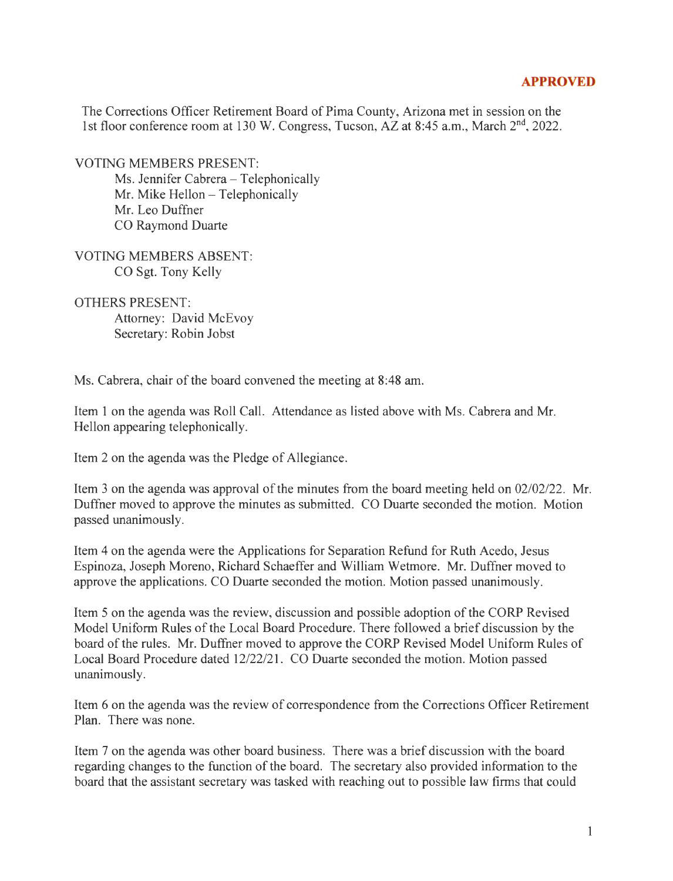## **APPROVED**

The Corrections Officer Retirement Board of Pima County, Arizona met in session on the 1st floor conference room at 130 W. Congress, Tucson, AZ at 8:45 a.m., March 2<sup>nd</sup>, 2022.

VOTING MEMBERS PRESENT:

Ms. Jennifer Cabrera - Telephonically Mr. Mike Hellon - Telephonically Mr. Leo Duffner CO Raymond Duarte

VOTING MEMBERS ABSENT: CO Sgt. Tony Kelly

OTHERS PRESENT: Attorney: David McEvoy Secretary: Robin Jobst

Ms. Cabrera, chair of the board convened the meeting at 8:48 am.

Item I on the agenda was Roll Call. Attendance as listed above with Ms. Cabrera and Mr. Hellon appearing telephonically.

Item 2 on the agenda was the Pledge of Allegiance.

Item 3 on the agenda was approval of the minutes from the board meeting held on 02/02/22. Mr. Duffner moved to approve the minutes as submitted. CO Duarte seconded the motion. Motion passed unanimously.

Item 4 on the agenda were the Applications for Separation Refund for Ruth Acedo, Jesus Espinoza, Joseph Moreno, Richard Schaeffer and William Wetmore. Mr. Duffner moved to approve the applications. CO Duarte seconded the motion. Motion passed unanimously.

Item 5 on the agenda was the review, discussion and possible adoption of the CORP Revised Model Uniform Rules of the Local Board Procedure. There followed a brief discussion by the board of the rules. Mr. Duffner moved to approve the CORP Revised Model Uniform Rules of Local Board Procedure dated 12/22/21. CO Duarte seconded the motion. Motion passed unanimously.

Item 6 on the agenda was the review of correspondence from the Corrections Officer Retirement Plan. There was none.

Item 7 on the agenda was other board business. There was a brief discussion with the board regarding changes to the function of the board. The secretary also provided information to the board that the assistant secretary was tasked with reaching out to possible law firms that could